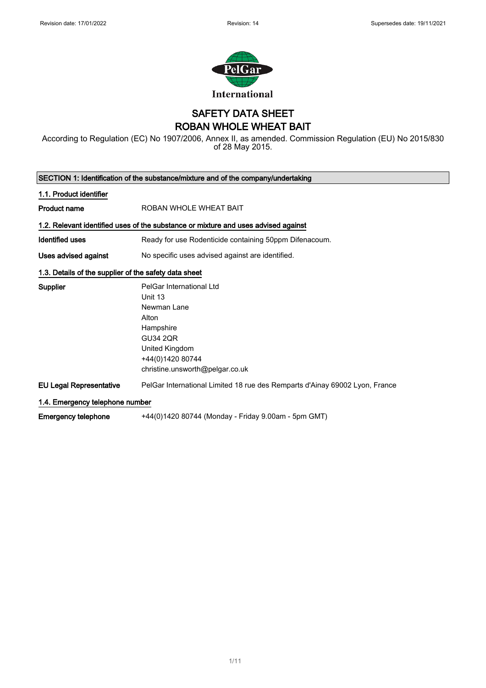

### SAFETY DATA SHEET ROBAN WHOLE WHEAT BAIT

According to Regulation (EC) No 1907/2006, Annex II, as amended. Commission Regulation (EU) No 2015/830 of 28 May 2015.

| SECTION 1: Identification of the substance/mixture and of the company/undertaking |                                                                                                                                                                      |  |
|-----------------------------------------------------------------------------------|----------------------------------------------------------------------------------------------------------------------------------------------------------------------|--|
| 1.1. Product identifier                                                           |                                                                                                                                                                      |  |
| <b>Product name</b>                                                               | ROBAN WHOLE WHEAT BAIT                                                                                                                                               |  |
|                                                                                   | 1.2. Relevant identified uses of the substance or mixture and uses advised against                                                                                   |  |
| Identified uses                                                                   | Ready for use Rodenticide containing 50ppm Difenacoum.                                                                                                               |  |
| Uses advised against                                                              | No specific uses advised against are identified.                                                                                                                     |  |
| 1.3. Details of the supplier of the safety data sheet                             |                                                                                                                                                                      |  |
| <b>Supplier</b>                                                                   | PelGar International Ltd<br>Unit 13<br>Newman Lane<br>Alton<br>Hampshire<br><b>GU34 2QR</b><br>United Kingdom<br>+44(0)1420 80744<br>christine.unsworth@pelgar.co.uk |  |
| <b>EU Legal Representative</b>                                                    | PelGar International Limited 18 rue des Remparts d'Ainay 69002 Lyon, France                                                                                          |  |
| 1.4. Emergency telephone number                                                   |                                                                                                                                                                      |  |
| <b>Emergency telephone</b>                                                        | +44(0)1420 80744 (Monday - Friday 9.00am - 5pm GMT)                                                                                                                  |  |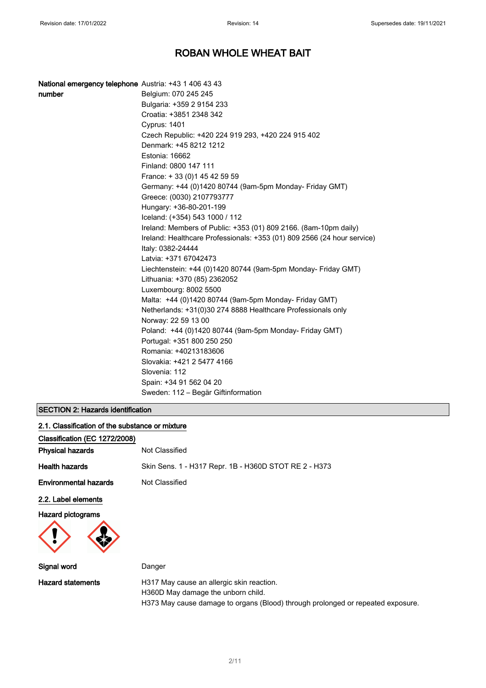| National emergency telephone Austria: +43 1 406 43 43 |                                                                         |
|-------------------------------------------------------|-------------------------------------------------------------------------|
| number                                                | Belgium: 070 245 245                                                    |
|                                                       | Bulgaria: +359 2 9154 233                                               |
|                                                       | Croatia: +3851 2348 342                                                 |
|                                                       | <b>Cyprus: 1401</b>                                                     |
|                                                       | Czech Republic: +420 224 919 293, +420 224 915 402                      |
|                                                       | Denmark: +45 8212 1212                                                  |
|                                                       | Estonia: 16662                                                          |
|                                                       | Finland: 0800 147 111                                                   |
|                                                       | France: +33 (0) 145 42 59 59                                            |
|                                                       | Germany: +44 (0)1420 80744 (9am-5pm Monday- Friday GMT)                 |
|                                                       | Greece: (0030) 2107793777                                               |
|                                                       | Hungary: +36-80-201-199                                                 |
|                                                       | Iceland: (+354) 543 1000 / 112                                          |
|                                                       | Ireland: Members of Public: +353 (01) 809 2166. (8am-10pm daily)        |
|                                                       | Ireland: Healthcare Professionals: +353 (01) 809 2566 (24 hour service) |
|                                                       | Italy: 0382-24444                                                       |
|                                                       | Latvia: +371 67042473                                                   |
|                                                       | Liechtenstein: +44 (0)1420 80744 (9am-5pm Monday- Friday GMT)           |
|                                                       | Lithuania: +370 (85) 2362052                                            |
|                                                       | Luxembourg: 8002 5500                                                   |
|                                                       | Malta: +44 (0)1420 80744 (9am-5pm Monday- Friday GMT)                   |
|                                                       | Netherlands: +31(0)30 274 8888 Healthcare Professionals only            |
|                                                       | Norway: 22 59 13 00                                                     |
|                                                       | Poland: +44 (0)1420 80744 (9am-5pm Monday- Friday GMT)                  |
|                                                       | Portugal: +351 800 250 250                                              |
|                                                       | Romania: +40213183606                                                   |
|                                                       | Slovakia: +421 2 5477 4166                                              |
|                                                       | Slovenia: 112                                                           |
|                                                       | Spain: +34 91 562 04 20                                                 |
|                                                       | Sweden: 112 - Begär Giftinformation                                     |

### SECTION 2: Hazards identification

| 2.1. Classification of the substance or mixture |                                                                                 |
|-------------------------------------------------|---------------------------------------------------------------------------------|
| Classification (EC 1272/2008)                   |                                                                                 |
| <b>Physical hazards</b>                         | Not Classified                                                                  |
| <b>Health hazards</b>                           | Skin Sens. 1 - H317 Repr. 1B - H360D STOT RE 2 - H373                           |
| <b>Environmental hazards</b>                    | Not Classified                                                                  |
| 2.2. Label elements                             |                                                                                 |
| <b>Hazard pictograms</b>                        |                                                                                 |
| Signal word                                     | Danger                                                                          |
| <b>Hazard statements</b>                        | H317 May cause an allergic skin reaction.<br>H360D May damage the unborn child. |

H373 May cause damage to organs (Blood) through prolonged or repeated exposure.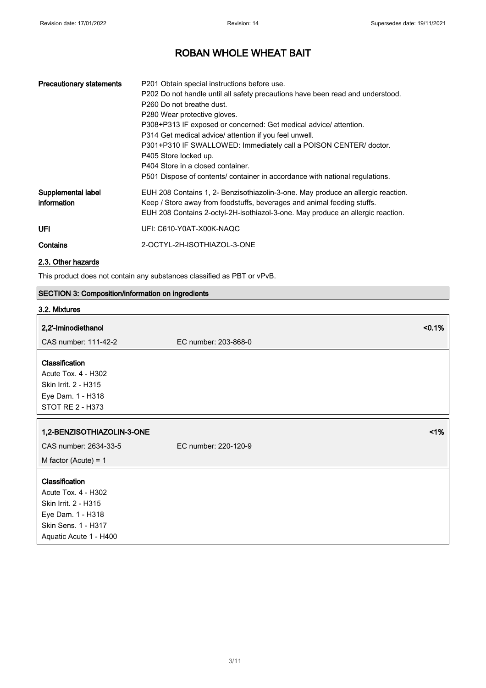| <b>Precautionary statements</b>   | P201 Obtain special instructions before use.<br>P202 Do not handle until all safety precautions have been read and understood.<br>P <sub>260</sub> Do not breathe dust.<br>P280 Wear protective gloves.<br>P308+P313 IF exposed or concerned: Get medical advice/ attention.<br>P314 Get medical advice/ attention if you feel unwell.<br>P301+P310 IF SWALLOWED: Immediately call a POISON CENTER/ doctor.<br>P405 Store locked up.<br>P404 Store in a closed container.<br>P501 Dispose of contents/ container in accordance with national regulations. |
|-----------------------------------|-----------------------------------------------------------------------------------------------------------------------------------------------------------------------------------------------------------------------------------------------------------------------------------------------------------------------------------------------------------------------------------------------------------------------------------------------------------------------------------------------------------------------------------------------------------|
| Supplemental label<br>information | EUH 208 Contains 1, 2- Benzisothiazolin-3-one. May produce an allergic reaction.<br>Keep / Store away from foodstuffs, beverages and animal feeding stuffs.<br>EUH 208 Contains 2-octyl-2H-isothiazol-3-one. May produce an allergic reaction.                                                                                                                                                                                                                                                                                                            |
| <b>UFI</b>                        | UFI: C610-Y0AT-X00K-NAQC                                                                                                                                                                                                                                                                                                                                                                                                                                                                                                                                  |
| Contains                          | 2-OCTYL-2H-ISOTHIAZOL-3-ONE                                                                                                                                                                                                                                                                                                                                                                                                                                                                                                                               |

### 2.3. Other hazards

This product does not contain any substances classified as PBT or vPvB.

# SECTION 3: Composition/information on ingredients

### 3.2. Mixtures

| 2,2'-Iminodiethanol                                                                                                                 | $< 0.1\%$            |
|-------------------------------------------------------------------------------------------------------------------------------------|----------------------|
| CAS number: 111-42-2                                                                                                                | EC number: 203-868-0 |
| Classification<br>Acute Tox. 4 - H302<br>Skin Irrit. 2 - H315<br>Eye Dam. 1 - H318<br><b>STOT RE 2 - H373</b>                       |                      |
| 1,2-BENZISOTHIAZOLIN-3-ONE                                                                                                          | 1%                   |
| CAS number: 2634-33-5                                                                                                               | EC number: 220-120-9 |
| M factor (Acute) = $1$                                                                                                              |                      |
| Classification<br>Acute Tox. 4 - H302<br>Skin Irrit. 2 - H315<br>Eye Dam. 1 - H318<br>Skin Sens. 1 - H317<br>Aquatic Acute 1 - H400 |                      |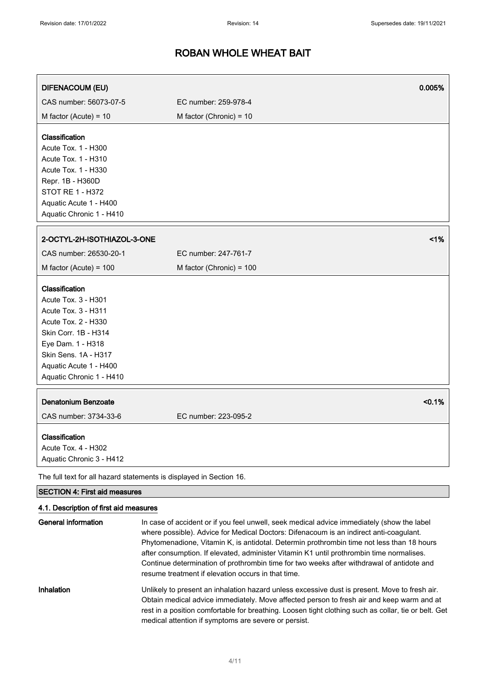| <b>DIFENACOUM (EU)</b>                                                                                                                                                                                                |                           | 0.005% |
|-----------------------------------------------------------------------------------------------------------------------------------------------------------------------------------------------------------------------|---------------------------|--------|
| CAS number: 56073-07-5                                                                                                                                                                                                | EC number: 259-978-4      |        |
| M factor (Acute) = $10$                                                                                                                                                                                               | M factor (Chronic) = $10$ |        |
| Classification<br>Acute Tox. 1 - H300<br>Acute Tox. 1 - H310<br>Acute Tox. 1 - H330<br>Repr. 1B - H360D<br>STOT RE 1 - H372<br>Aquatic Acute 1 - H400<br>Aquatic Chronic 1 - H410                                     |                           |        |
| 2-OCTYL-2H-ISOTHIAZOL-3-ONE                                                                                                                                                                                           |                           | 1%     |
| CAS number: 26530-20-1                                                                                                                                                                                                | EC number: 247-761-7      |        |
| M factor (Acute) = $100$                                                                                                                                                                                              | M factor (Chronic) = 100  |        |
| Classification<br>Acute Tox. 3 - H301<br>Acute Tox. 3 - H311<br>Acute Tox. 2 - H330<br>Skin Corr. 1B - H314<br>Eye Dam. 1 - H318<br><b>Skin Sens. 1A - H317</b><br>Aquatic Acute 1 - H400<br>Aquatic Chronic 1 - H410 |                           |        |
| Denatonium Benzoate<br>CAS number: 3734-33-6                                                                                                                                                                          | EC number: 223-095-2      | < 0.1% |
| Classification<br>Acute Tox. 4 - H302<br>Aquatic Chronic 3 - H412                                                                                                                                                     |                           |        |
| The full text for all hazard statements is displayed in Section 16.<br><b>SECTION 4: First aid measures</b>                                                                                                           |                           |        |

### 4.1. Description of first aid measures

| General information | In case of accident or if you feel unwell, seek medical advice immediately (show the label<br>where possible). Advice for Medical Doctors: Difenacoum is an indirect anti-coagulant.<br>Phytomenadione, Vitamin K, is antidotal. Determin prothrombin time not less than 18 hours<br>after consumption. If elevated, administer Vitamin K1 until prothrombin time normalises.<br>Continue determination of prothrombin time for two weeks after withdrawal of antidote and<br>resume treatment if elevation occurs in that time. |
|---------------------|----------------------------------------------------------------------------------------------------------------------------------------------------------------------------------------------------------------------------------------------------------------------------------------------------------------------------------------------------------------------------------------------------------------------------------------------------------------------------------------------------------------------------------|
| Inhalation          | Unlikely to present an inhalation hazard unless excessive dust is present. Move to fresh air.<br>Obtain medical advice immediately. Move affected person to fresh air and keep warm and at<br>rest in a position comfortable for breathing. Loosen tight clothing such as collar, tie or belt. Get<br>medical attention if symptoms are severe or persist.                                                                                                                                                                       |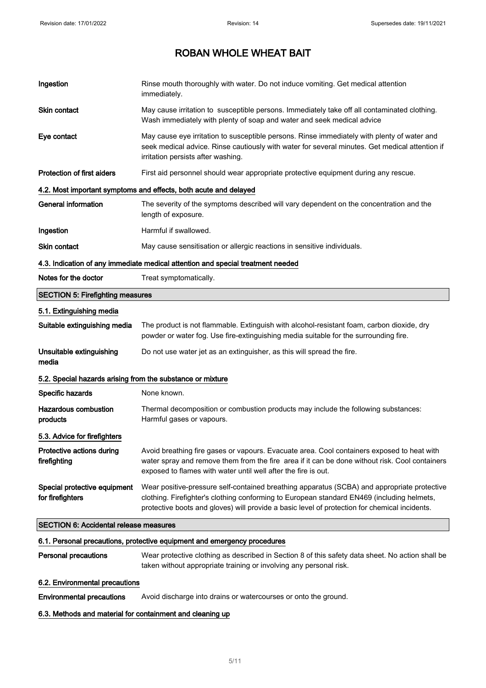| Ingestion                                                  | Rinse mouth thoroughly with water. Do not induce vomiting. Get medical attention<br>immediately.                                                                                                                                                                                           |  |
|------------------------------------------------------------|--------------------------------------------------------------------------------------------------------------------------------------------------------------------------------------------------------------------------------------------------------------------------------------------|--|
| Skin contact                                               | May cause irritation to susceptible persons. Immediately take off all contaminated clothing.<br>Wash immediately with plenty of soap and water and seek medical advice                                                                                                                     |  |
| Eye contact                                                | May cause eye irritation to susceptible persons. Rinse immediately with plenty of water and<br>seek medical advice. Rinse cautiously with water for several minutes. Get medical attention if<br>irritation persists after washing.                                                        |  |
| <b>Protection of first aiders</b>                          | First aid personnel should wear appropriate protective equipment during any rescue.                                                                                                                                                                                                        |  |
|                                                            | 4.2. Most important symptoms and effects, both acute and delayed                                                                                                                                                                                                                           |  |
| General information                                        | The severity of the symptoms described will vary dependent on the concentration and the<br>length of exposure.                                                                                                                                                                             |  |
| Ingestion                                                  | Harmful if swallowed.                                                                                                                                                                                                                                                                      |  |
| Skin contact                                               | May cause sensitisation or allergic reactions in sensitive individuals.                                                                                                                                                                                                                    |  |
|                                                            | 4.3. Indication of any immediate medical attention and special treatment needed                                                                                                                                                                                                            |  |
| Notes for the doctor                                       | Treat symptomatically.                                                                                                                                                                                                                                                                     |  |
| <b>SECTION 5: Firefighting measures</b>                    |                                                                                                                                                                                                                                                                                            |  |
| 5.1. Extinguishing media                                   |                                                                                                                                                                                                                                                                                            |  |
| Suitable extinguishing media                               | The product is not flammable. Extinguish with alcohol-resistant foam, carbon dioxide, dry<br>powder or water fog. Use fire-extinguishing media suitable for the surrounding fire.                                                                                                          |  |
| Unsuitable extinguishing<br>media                          | Do not use water jet as an extinguisher, as this will spread the fire.                                                                                                                                                                                                                     |  |
| 5.2. Special hazards arising from the substance or mixture |                                                                                                                                                                                                                                                                                            |  |
| Specific hazards                                           | None known.                                                                                                                                                                                                                                                                                |  |
| <b>Hazardous combustion</b><br>products                    | Thermal decomposition or combustion products may include the following substances:<br>Harmful gases or vapours.                                                                                                                                                                            |  |
| 5.3. Advice for firefighters                               |                                                                                                                                                                                                                                                                                            |  |
| Protective actions during<br>firefighting                  | Avoid breathing fire gases or vapours. Evacuate area. Cool containers exposed to heat with<br>water spray and remove them from the fire area if it can be done without risk. Cool containers<br>exposed to flames with water until well after the fire is out.                             |  |
| Special protective equipment<br>for firefighters           | Wear positive-pressure self-contained breathing apparatus (SCBA) and appropriate protective<br>clothing. Firefighter's clothing conforming to European standard EN469 (including helmets,<br>protective boots and gloves) will provide a basic level of protection for chemical incidents. |  |
|                                                            | <b>SECTION 6: Accidental release measures</b>                                                                                                                                                                                                                                              |  |
|                                                            | 6.1. Personal precautions, protective equipment and emergency procedures                                                                                                                                                                                                                   |  |
| <b>Personal precautions</b>                                | Wear protective clothing as described in Section 8 of this safety data sheet. No action shall be<br>taken without appropriate training or involving any personal risk.                                                                                                                     |  |
| 6.2. Environmental precautions                             |                                                                                                                                                                                                                                                                                            |  |

Environmental precautions Avoid discharge into drains or watercourses or onto the ground.

### 6.3. Methods and material for containment and cleaning up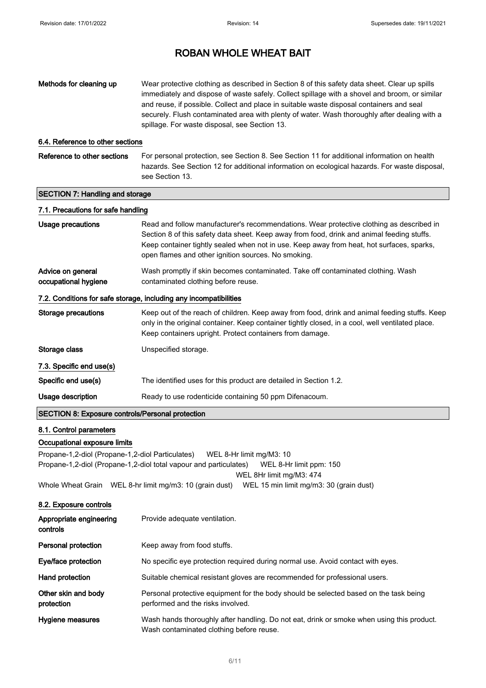protection

## ROBAN WHOLE WHEAT BAIT

| Methods for cleaning up                                 | Wear protective clothing as described in Section 8 of this safety data sheet. Clear up spills<br>immediately and dispose of waste safely. Collect spillage with a shovel and broom, or similar<br>and reuse, if possible. Collect and place in suitable waste disposal containers and seal<br>securely. Flush contaminated area with plenty of water. Wash thoroughly after dealing with a<br>spillage. For waste disposal, see Section 13. |
|---------------------------------------------------------|---------------------------------------------------------------------------------------------------------------------------------------------------------------------------------------------------------------------------------------------------------------------------------------------------------------------------------------------------------------------------------------------------------------------------------------------|
| 6.4. Reference to other sections                        |                                                                                                                                                                                                                                                                                                                                                                                                                                             |
| Reference to other sections                             | For personal protection, see Section 8. See Section 11 for additional information on health<br>hazards. See Section 12 for additional information on ecological hazards. For waste disposal,<br>see Section 13.                                                                                                                                                                                                                             |
| <b>SECTION 7: Handling and storage</b>                  |                                                                                                                                                                                                                                                                                                                                                                                                                                             |
| 7.1. Precautions for safe handling                      |                                                                                                                                                                                                                                                                                                                                                                                                                                             |
| <b>Usage precautions</b>                                | Read and follow manufacturer's recommendations. Wear protective clothing as described in<br>Section 8 of this safety data sheet. Keep away from food, drink and animal feeding stuffs.<br>Keep container tightly sealed when not in use. Keep away from heat, hot surfaces, sparks,<br>open flames and other ignition sources. No smoking.                                                                                                  |
| Advice on general<br>occupational hygiene               | Wash promptly if skin becomes contaminated. Take off contaminated clothing. Wash<br>contaminated clothing before reuse.                                                                                                                                                                                                                                                                                                                     |
|                                                         | 7.2. Conditions for safe storage, including any incompatibilities                                                                                                                                                                                                                                                                                                                                                                           |
| <b>Storage precautions</b>                              | Keep out of the reach of children. Keep away from food, drink and animal feeding stuffs. Keep<br>only in the original container. Keep container tightly closed, in a cool, well ventilated place.<br>Keep containers upright. Protect containers from damage.                                                                                                                                                                               |
| Storage class                                           | Unspecified storage.                                                                                                                                                                                                                                                                                                                                                                                                                        |
| 7.3. Specific end use(s)                                |                                                                                                                                                                                                                                                                                                                                                                                                                                             |
| Specific end use(s)                                     | The identified uses for this product are detailed in Section 1.2.                                                                                                                                                                                                                                                                                                                                                                           |
| Usage description                                       | Ready to use rodenticide containing 50 ppm Difenacoum.                                                                                                                                                                                                                                                                                                                                                                                      |
| <b>SECTION 8: Exposure controls/Personal protection</b> |                                                                                                                                                                                                                                                                                                                                                                                                                                             |
| 8.1. Control parameters                                 |                                                                                                                                                                                                                                                                                                                                                                                                                                             |
| Occupational exposure limits                            |                                                                                                                                                                                                                                                                                                                                                                                                                                             |
| Propane-1,2-diol (Propane-1,2-diol Particulates)        | WEL 8-Hr limit mg/M3: 10                                                                                                                                                                                                                                                                                                                                                                                                                    |
|                                                         | Propane-1,2-diol (Propane-1,2-diol total vapour and particulates)<br>WEL 8-Hr limit ppm: 150                                                                                                                                                                                                                                                                                                                                                |
|                                                         | WEL 8Hr limit mg/M3: 474<br>WEL 15 min limit mg/m3: 30 (grain dust)<br>Whole Wheat Grain WEL 8-hr limit mg/m3: 10 (grain dust)                                                                                                                                                                                                                                                                                                              |
| 8.2. Exposure controls                                  |                                                                                                                                                                                                                                                                                                                                                                                                                                             |
| Appropriate engineering<br>controls                     | Provide adequate ventilation.                                                                                                                                                                                                                                                                                                                                                                                                               |
| Personal protection                                     | Keep away from food stuffs.                                                                                                                                                                                                                                                                                                                                                                                                                 |
| Eye/face protection                                     | No specific eye protection required during normal use. Avoid contact with eyes.                                                                                                                                                                                                                                                                                                                                                             |
| Hand protection                                         | Suitable chemical resistant gloves are recommended for professional users.                                                                                                                                                                                                                                                                                                                                                                  |

Other skin and body Personal protective equipment for the body should be selected based on the task being

performed and the risks involved.

Hygiene measures **Wash hands thoroughly after handling.** Do not eat, drink or smoke when using this product. Wash contaminated clothing before reuse.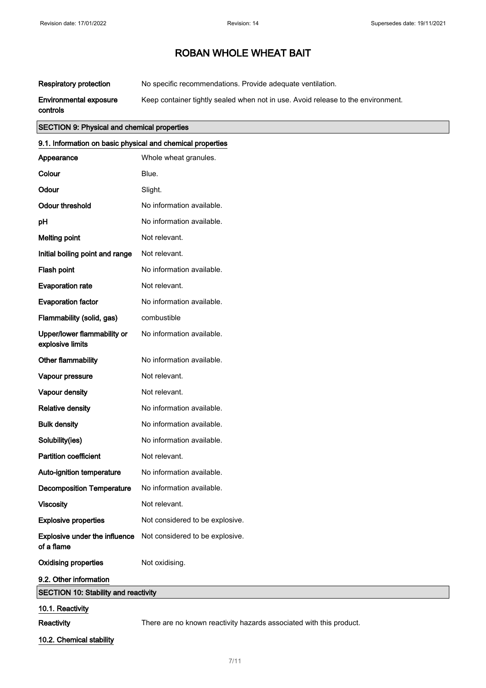Respiratory protection No specific recommendations. Provide adequate ventilation.

Environmental exposure Keep container tightly sealed when not in use. Avoid release to the environment.

controls

### SECTION 9: Physical and chemical properties

| 9.1. Information on basic physical and chemical properties |                                                                      |
|------------------------------------------------------------|----------------------------------------------------------------------|
| Appearance                                                 | Whole wheat granules.                                                |
| Colour                                                     | Blue.                                                                |
| Odour                                                      | Slight.                                                              |
| <b>Odour threshold</b>                                     | No information available.                                            |
| рH                                                         | No information available.                                            |
| <b>Melting point</b>                                       | Not relevant.                                                        |
| Initial boiling point and range                            | Not relevant.                                                        |
| Flash point                                                | No information available.                                            |
| <b>Evaporation rate</b>                                    | Not relevant.                                                        |
| <b>Evaporation factor</b>                                  | No information available.                                            |
| Flammability (solid, gas)                                  | combustible                                                          |
| Upper/lower flammability or<br>explosive limits            | No information available.                                            |
| Other flammability                                         | No information available.                                            |
| Vapour pressure                                            | Not relevant.                                                        |
| Vapour density                                             | Not relevant.                                                        |
| <b>Relative density</b>                                    | No information available.                                            |
| <b>Bulk density</b>                                        | No information available.                                            |
| Solubility(ies)                                            | No information available.                                            |
| <b>Partition coefficient</b>                               | Not relevant.                                                        |
| Auto-ignition temperature                                  | No information available.                                            |
| <b>Decomposition Temperature</b>                           | No information available.                                            |
| Viscosity                                                  | Not relevant.                                                        |
| <b>Explosive properties</b>                                | Not considered to be explosive.                                      |
| of a flame                                                 | <b>Explosive under the influence</b> Not considered to be explosive. |
| <b>Oxidising properties</b>                                | Not oxidising.                                                       |
| 9.2. Other information                                     |                                                                      |
| <b>SECTION 10: Stability and reactivity</b>                |                                                                      |
| 10.1. Reactivity                                           |                                                                      |

Reactivity **Reactivity** There are no known reactivity hazards associated with this product.

10.2. Chemical stability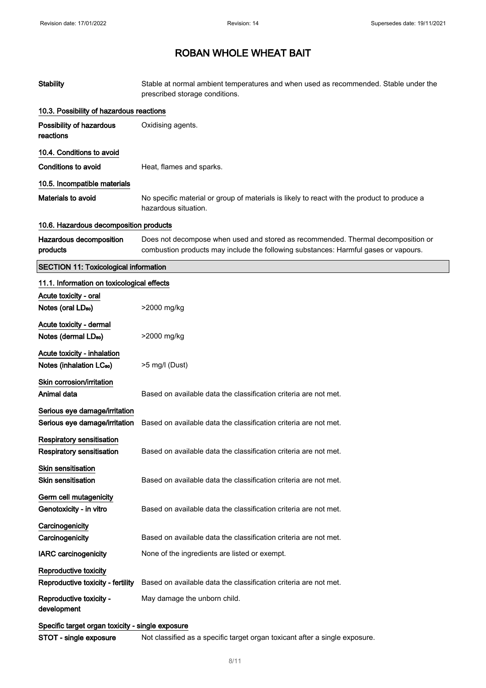| <b>Stability</b>                                                     | Stable at normal ambient temperatures and when used as recommended. Stable under the<br>prescribed storage conditions.                                                  |
|----------------------------------------------------------------------|-------------------------------------------------------------------------------------------------------------------------------------------------------------------------|
| 10.3. Possibility of hazardous reactions                             |                                                                                                                                                                         |
| Possibility of hazardous<br>reactions                                | Oxidising agents.                                                                                                                                                       |
| 10.4. Conditions to avoid                                            |                                                                                                                                                                         |
| Conditions to avoid                                                  | Heat, flames and sparks.                                                                                                                                                |
| 10.5. Incompatible materials                                         |                                                                                                                                                                         |
| Materials to avoid                                                   | No specific material or group of materials is likely to react with the product to produce a<br>hazardous situation.                                                     |
| 10.6. Hazardous decomposition products                               |                                                                                                                                                                         |
| Hazardous decomposition<br>products                                  | Does not decompose when used and stored as recommended. Thermal decomposition or<br>combustion products may include the following substances: Harmful gases or vapours. |
| <b>SECTION 11: Toxicological information</b>                         |                                                                                                                                                                         |
| 11.1. Information on toxicological effects                           |                                                                                                                                                                         |
| Acute toxicity - oral<br>Notes (oral LD <sub>50</sub> )              | >2000 mg/kg                                                                                                                                                             |
|                                                                      |                                                                                                                                                                         |
| Acute toxicity - dermal<br>Notes (dermal LD <sub>50</sub> )          | >2000 mg/kg                                                                                                                                                             |
| Acute toxicity - inhalation<br>Notes (inhalation LC <sub>50</sub> )  | >5 mg/l (Dust)                                                                                                                                                          |
| Skin corrosion/irritation<br>Animal data                             | Based on available data the classification criteria are not met.                                                                                                        |
| Serious eye damage/irritation<br>Serious eye damage/irritation       | Based on available data the classification criteria are not met.                                                                                                        |
| <b>Respiratory sensitisation</b><br><b>Respiratory sensitisation</b> | Based on available data the classification criteria are not met.                                                                                                        |
| <b>Skin sensitisation</b><br><b>Skin sensitisation</b>               | Based on available data the classification criteria are not met.                                                                                                        |
| Germ cell mutagenicity<br>Genotoxicity - in vitro                    | Based on available data the classification criteria are not met.                                                                                                        |
| Carcinogenicity<br>Carcinogenicity                                   | Based on available data the classification criteria are not met.                                                                                                        |
| <b>IARC</b> carcinogenicity                                          | None of the ingredients are listed or exempt.                                                                                                                           |
| Reproductive toxicity<br>Reproductive toxicity - fertility           | Based on available data the classification criteria are not met.                                                                                                        |
| Reproductive toxicity -<br>development                               | May damage the unborn child.                                                                                                                                            |
| Specific target organ toxicity - single exposure                     |                                                                                                                                                                         |
| STOT - single exposure                                               | Not classified as a specific target organ toxicant after a single exposure.                                                                                             |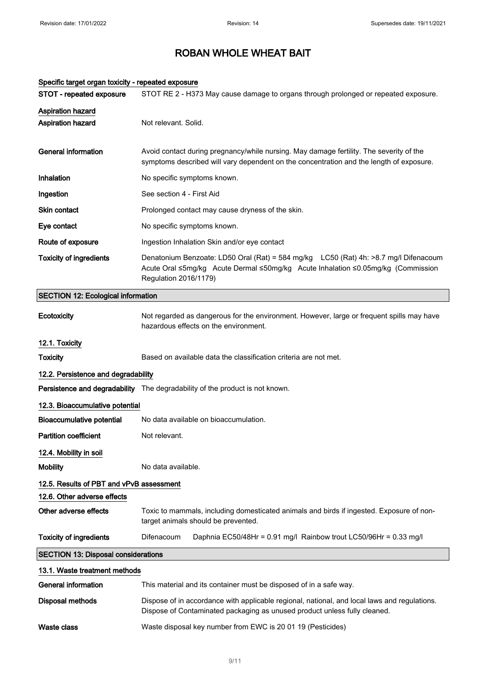| Specific target organ toxicity - repeated exposure |                                                                                                                                                                                                   |
|----------------------------------------------------|---------------------------------------------------------------------------------------------------------------------------------------------------------------------------------------------------|
| STOT - repeated exposure                           | STOT RE 2 - H373 May cause damage to organs through prolonged or repeated exposure.                                                                                                               |
| Aspiration hazard                                  |                                                                                                                                                                                                   |
| <b>Aspiration hazard</b>                           | Not relevant. Solid.                                                                                                                                                                              |
| <b>General information</b>                         | Avoid contact during pregnancy/while nursing. May damage fertility. The severity of the<br>symptoms described will vary dependent on the concentration and the length of exposure.                |
| Inhalation                                         | No specific symptoms known.                                                                                                                                                                       |
| Ingestion                                          | See section 4 - First Aid                                                                                                                                                                         |
| Skin contact                                       | Prolonged contact may cause dryness of the skin.                                                                                                                                                  |
| Eye contact                                        | No specific symptoms known.                                                                                                                                                                       |
| Route of exposure                                  | Ingestion Inhalation Skin and/or eye contact                                                                                                                                                      |
| <b>Toxicity of ingredients</b>                     | Denatonium Benzoate: LD50 Oral (Rat) = 584 mg/kg LC50 (Rat) 4h: >8.7 mg/l Difenacoum<br>Acute Oral ≤5mg/kg Acute Dermal ≤50mg/kg Acute Inhalation ≤0.05mg/kg (Commission<br>Regulation 2016/1179) |
| <b>SECTION 12: Ecological information</b>          |                                                                                                                                                                                                   |
| Ecotoxicity                                        | Not regarded as dangerous for the environment. However, large or frequent spills may have<br>hazardous effects on the environment.                                                                |
| 12.1. Toxicity                                     |                                                                                                                                                                                                   |
| <b>Toxicity</b>                                    | Based on available data the classification criteria are not met.                                                                                                                                  |
| 12.2. Persistence and degradability                |                                                                                                                                                                                                   |
|                                                    | Persistence and degradability The degradability of the product is not known.                                                                                                                      |
| 12.3. Bioaccumulative potential                    |                                                                                                                                                                                                   |
| <b>Bioaccumulative potential</b>                   | No data available on bioaccumulation.                                                                                                                                                             |
| <b>Partition coefficient</b>                       | Not relevant.                                                                                                                                                                                     |
| 12.4. Mobility in soil                             |                                                                                                                                                                                                   |
| <b>Mobility</b>                                    | No data available.                                                                                                                                                                                |
| 12.5. Results of PBT and vPvB assessment           |                                                                                                                                                                                                   |
| 12.6. Other adverse effects                        |                                                                                                                                                                                                   |
| Other adverse effects                              | Toxic to mammals, including domesticated animals and birds if ingested. Exposure of non-<br>target animals should be prevented.                                                                   |
| <b>Toxicity of ingredients</b>                     | Difenacoum<br>Daphnia EC50/48Hr = 0.91 mg/l Rainbow trout LC50/96Hr = 0.33 mg/l                                                                                                                   |
| <b>SECTION 13: Disposal considerations</b>         |                                                                                                                                                                                                   |
| 13.1. Waste treatment methods                      |                                                                                                                                                                                                   |
| <b>General information</b>                         | This material and its container must be disposed of in a safe way.                                                                                                                                |
| <b>Disposal methods</b>                            | Dispose of in accordance with applicable regional, national, and local laws and regulations.<br>Dispose of Contaminated packaging as unused product unless fully cleaned.                         |
| <b>Waste class</b>                                 | Waste disposal key number from EWC is 20 01 19 (Pesticides)                                                                                                                                       |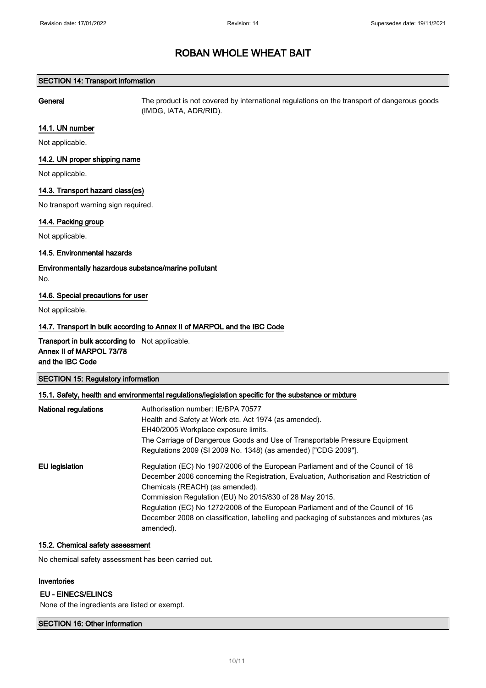### SECTION 14: Transport information

General The product is not covered by international regulations on the transport of dangerous goods (IMDG, IATA, ADR/RID).

#### 14.1. UN number

Not applicable.

### 14.2. UN proper shipping name

Not applicable.

### 14.3. Transport hazard class(es)

No transport warning sign required.

### 14.4. Packing group

Not applicable.

### 14.5. Environmental hazards

Environmentally hazardous substance/marine pollutant No.

### 14.6. Special precautions for user

Not applicable.

### 14.7. Transport in bulk according to Annex II of MARPOL and the IBC Code

Transport in bulk according to Not applicable. Annex II of MARPOL 73/78 and the IBC Code

SECTION 15: Regulatory information

### 15.1. Safety, health and environmental regulations/legislation specific for the substance or mixture

| <b>National regulations</b> |                                                                                         |
|-----------------------------|-----------------------------------------------------------------------------------------|
|                             | Authorisation number: IE/BPA 70577                                                      |
|                             | Health and Safety at Work etc. Act 1974 (as amended).                                   |
|                             | EH40/2005 Workplace exposure limits.                                                    |
|                             | The Carriage of Dangerous Goods and Use of Transportable Pressure Equipment             |
|                             | Regulations 2009 (SI 2009 No. 1348) (as amended) ["CDG 2009"].                          |
| EU legislation              | Regulation (EC) No 1907/2006 of the European Parliament and of the Council of 18        |
|                             | December 2006 concerning the Registration, Evaluation, Authorisation and Restriction of |
|                             | Chemicals (REACH) (as amended).                                                         |
|                             | Commission Regulation (EU) No 2015/830 of 28 May 2015.                                  |
|                             | Regulation (EC) No 1272/2008 of the European Parliament and of the Council of 16        |
|                             | December 2008 on classification, labelling and packaging of substances and mixtures (as |
|                             | amended).                                                                               |

#### 15.2. Chemical safety assessment

No chemical safety assessment has been carried out.

### Inventories

#### EU - EINECS/ELINCS

None of the ingredients are listed or exempt.

### SECTION 16: Other information